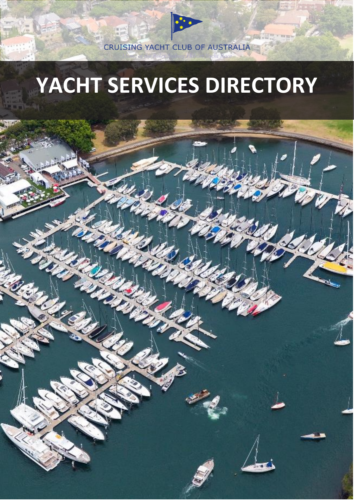CRUISING YACHT CLUB OF AUSTRALIA

# **YACHT SERVICES DIRECTORY**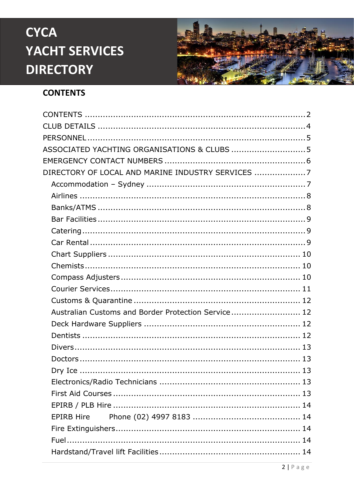

### <span id="page-1-0"></span>**CONTENTS**

| ASSOCIATED YACHTING ORGANISATIONS & CLUBS 5         |
|-----------------------------------------------------|
|                                                     |
| DIRECTORY OF LOCAL AND MARINE INDUSTRY SERVICES 7   |
|                                                     |
|                                                     |
|                                                     |
|                                                     |
|                                                     |
|                                                     |
|                                                     |
|                                                     |
|                                                     |
|                                                     |
|                                                     |
| Australian Customs and Border Protection Service 12 |
|                                                     |
|                                                     |
|                                                     |
|                                                     |
|                                                     |
|                                                     |
|                                                     |
|                                                     |
| <b>EPIRB Hire</b>                                   |
|                                                     |
|                                                     |
|                                                     |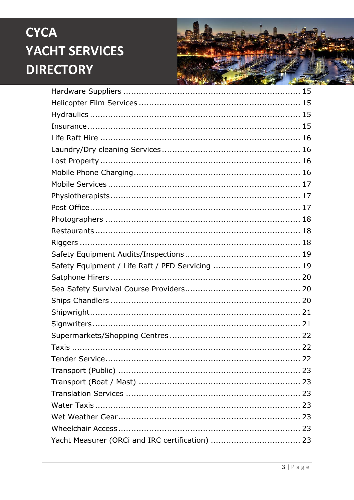

| Safety Equipment / Life Raft / PFD Servicing  19 |  |
|--------------------------------------------------|--|
|                                                  |  |
|                                                  |  |
|                                                  |  |
|                                                  |  |
|                                                  |  |
|                                                  |  |
|                                                  |  |
|                                                  |  |
|                                                  |  |
|                                                  |  |
|                                                  |  |
|                                                  |  |
|                                                  |  |
|                                                  |  |
|                                                  |  |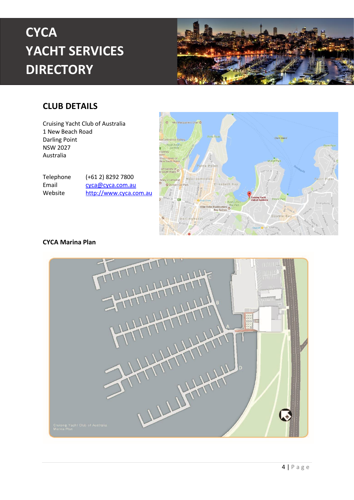

#### <span id="page-3-0"></span>**CLUB DETAILS**

Cruising Yacht Club of Australia 1 New Beach Road Darling Point NSW 2027 Australia

Telephone (+61 2) 8292 7800 Email [cyca@cyca.com.au](mailto:cyca@cyca.com.au) Website [http://www.cyca.com.au](http://www.cyca.com.au/)



#### **CYCA Marina Plan**

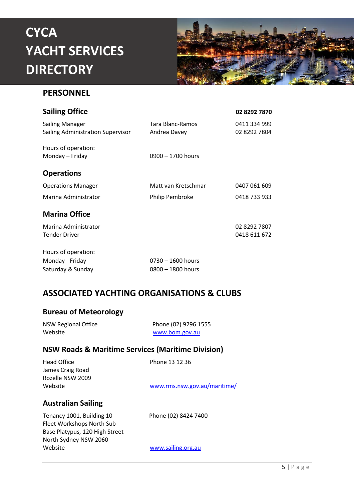

#### <span id="page-4-0"></span>**PERSONNEL**

| <b>Sailing Office</b>                                       |                                  | 02 8292 7870                 |
|-------------------------------------------------------------|----------------------------------|------------------------------|
| <b>Sailing Manager</b><br>Sailing Administration Supervisor | Tara Blanc-Ramos<br>Andrea Davey | 0411 334 999<br>02 8292 7804 |
| Hours of operation:<br>Monday – Friday                      | $0900 - 1700$ hours              |                              |
| <b>Operations</b>                                           |                                  |                              |
| <b>Operations Manager</b>                                   | Matt van Kretschmar              | 0407 061 609                 |
| Marina Administrator                                        | Philip Pembroke                  | 0418 733 933                 |
| <b>Marina Office</b>                                        |                                  |                              |
| Marina Administrator                                        |                                  | 02 8292 7807                 |
| <b>Tender Driver</b>                                        |                                  | 0418 611 672                 |
| Hours of operation:                                         |                                  |                              |
|                                                             |                                  |                              |

| Monday - Friday   | $0730 - 1600$ hours |
|-------------------|---------------------|
| Saturday & Sunday | $0800 - 1800$ hours |

#### <span id="page-4-1"></span>**ASSOCIATED YACHTING ORGANISATIONS & CLUBS**

#### **Bureau of Meteorology**

| <b>NSW Regional Office</b> | Phone (02) 9296 1555 |
|----------------------------|----------------------|
| Website                    | www.bom.gov.au       |

#### **NSW Roads & Maritime Services (Maritime Division)**

| Head Office               | Phone 13 12 36               |
|---------------------------|------------------------------|
| James Craig Road          |                              |
| Rozelle NSW 2009          |                              |
| Website                   | www.rms.nsw.gov.au/maritime/ |
| <b>Australian Sailing</b> |                              |

Tenancy 1001, Building 10 Phone (02) 8424 7400 Fleet Workshops North Sub Base Platypus, 120 High Street North Sydney NSW 2060 Website **With a William Strategies** Website Website With a William Strategies and William Strategies and William Strategies and William Strategies and William Strategies and William Strategies and William Strategies and Wi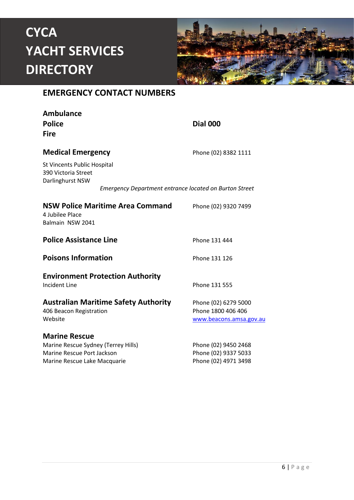

#### <span id="page-5-0"></span>**EMERGENCY CONTACT NUMBERS**

| <b>Ambulance</b><br><b>Police</b><br><b>Fire</b>                                                                          |                                                               | <b>Dial 000</b>                                                       |
|---------------------------------------------------------------------------------------------------------------------------|---------------------------------------------------------------|-----------------------------------------------------------------------|
| <b>Medical Emergency</b>                                                                                                  |                                                               | Phone (02) 8382 1111                                                  |
| <b>St Vincents Public Hospital</b><br>390 Victoria Street<br>Darlinghurst NSW                                             |                                                               |                                                                       |
|                                                                                                                           | <b>Emergency Department entrance located on Burton Street</b> |                                                                       |
| <b>NSW Police Maritime Area Command</b><br>4 Jubilee Place<br>Balmain NSW 2041                                            |                                                               | Phone (02) 9320 7499                                                  |
| <b>Police Assistance Line</b>                                                                                             |                                                               | Phone 131 444                                                         |
| <b>Poisons Information</b>                                                                                                |                                                               | Phone 131 126                                                         |
| <b>Environment Protection Authority</b><br><b>Incident Line</b>                                                           |                                                               | Phone 131 555                                                         |
| <b>Australian Maritime Safety Authority</b><br>406 Beacon Registration<br>Website                                         |                                                               | Phone (02) 6279 5000<br>Phone 1800 406 406<br>www.beacons.amsa.gov.au |
| <b>Marine Rescue</b><br>Marine Rescue Sydney (Terrey Hills)<br>Marine Rescue Port Jackson<br>Marine Rescue Lake Macquarie |                                                               | Phone (02) 9450 2468<br>Phone (02) 9337 5033<br>Phone (02) 4971 3498  |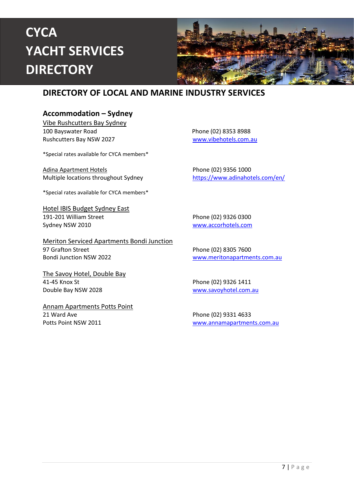

#### <span id="page-6-0"></span>**DIRECTORY OF LOCAL AND MARINE INDUSTRY SERVICES**

#### <span id="page-6-1"></span>**Accommodation – Sydney**

Vibe Rushcutters Bay Sydney 100 Bayswater Road **Phone (02) 8353 8988** Rushcutters Bay NSW 2027 WWW.vibehotels.com.au

\*Special rates available for CYCA members\*

Adina Apartment Hotels **Phone (02) 9356 1000** Multiple locations throughout Sydney <https://www.adinahotels.com/en/>

\*Special rates available for CYCA members\*

Hotel IBIS Budget Sydney East 191-201 William Street Phone (02) 9326 0300 Sydney NSW 2010 [www.accorhotels.com](file:///C:/Users/justine/AppData/Local/Microsoft/Windows/Temporary%20Internet%20Files/Content.Outlook/ZJRFAUGG/www.accorhotels.com)

Meriton Serviced Apartments Bondi Junction 97 Grafton Street Phone (02) 8305 7600 Bondi Junction NSW 2022 [www.meritonapartments.com.au](http://www.meritonapartments.com.au/)

The Savoy Hotel, Double Bay 41-45 Knox St Phone (02) 9326 1411 Double Bay NSW 2028 [www.savoyhotel.com.au](file://///SBSERVER/UserShares/Vicky/My%20Documents/www.savoyhotel.com.au)

Annam Apartments Potts Point 21 Ward Ave Phone (02) 9331 4633

Potts Point NSW 2011 [www.annamapartments.com.au](file://///SBSERVER/UserShares/Vicky/My%20Documents/www.annamapartments.com.au)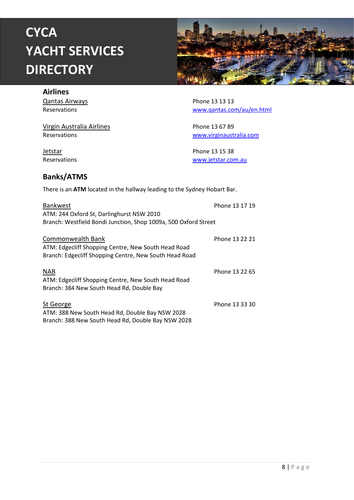

#### <span id="page-7-0"></span>**Airlines**

Qantas Airways **Phone 13 13 13** 

Virgin Australia Airlines **Phone 13 67 89** 

Reservations [www.qantas.com/au/en.html](file://///SBSERVER/UserShares/Vicky/My%20Documents/www.qantas.com/au/en.html)

Reservations [www.virginaustralia.com](file://///SBSERVER/UserShares/Vicky/My%20Documents/www.virginaustralia.com)

**Jetstar 13 15 38**<br>Reservations **Exercise 20**<br>Reservations [www.jetstar.com.au](http://www.jetstar.com.au/)

#### <span id="page-7-1"></span>**Banks/ATMS**

There is an **ATM** located in the hallway leading to the Sydney Hobart Bar.

| Bankwest<br>ATM: 244 Oxford St, Darlinghurst NSW 2010<br>Branch: Westfield Bondi Junction, Shop 1009a, 500 Oxford Street           | Phone 13 17 19 |
|------------------------------------------------------------------------------------------------------------------------------------|----------------|
| Commonwealth Bank<br>ATM: Edgecliff Shopping Centre, New South Head Road<br>Branch: Edgecliff Shopping Centre, New South Head Road | Phone 13 22 21 |
| <b>NAB</b><br>ATM: Edgecliff Shopping Centre, New South Head Road<br>Branch: 384 New South Head Rd, Double Bay                     | Phone 13 22 65 |
| St George<br>ATM: 388 New South Head Rd, Double Bay NSW 2028<br>Branch: 388 New South Head Rd, Double Bay NSW 2028                 | Phone 13 33 30 |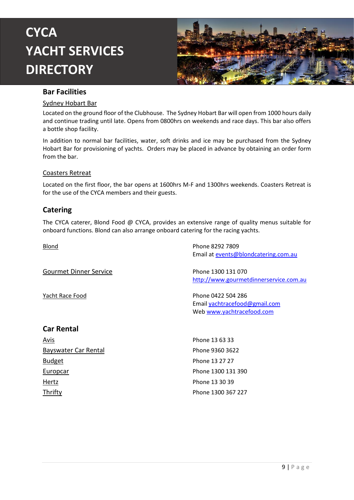

#### <span id="page-8-0"></span>**Bar Facilities**

#### Sydney Hobart Bar

Located on the ground floor of the Clubhouse. The Sydney Hobart Bar will open from 1000 hours daily and continue trading until late. Opens from 0800hrs on weekends and race days. This bar also offers a bottle shop facility.

In addition to normal bar facilities, water, soft drinks and ice may be purchased from the Sydney Hobart Bar for provisioning of yachts. Orders may be placed in advance by obtaining an order form from the bar.

#### Coasters Retreat

Located on the first floor, the bar opens at 1600hrs M-F and 1300hrs weekends. Coasters Retreat is for the use of the CYCA members and their guests.

#### <span id="page-8-1"></span>**Catering**

The CYCA caterer, Blond Food @ CYCA, provides an extensive range of quality menus suitable for onboard functions. Blond can also arrange onboard catering for the racing yachts.

<span id="page-8-2"></span>

| Blond                         | Phone 8292 7809                        |
|-------------------------------|----------------------------------------|
|                               | Email at events@blondcatering.com.au   |
| <b>Gourmet Dinner Service</b> | Phone 1300 131 070                     |
|                               | http://www.gourmetdinnerservice.com.au |
| Yacht Race Food               | Phone 0422 504 286                     |
|                               | Email yachtracefood@gmail.com          |
|                               | Web www.yachtracefood.com              |
| <b>Car Rental</b>             |                                        |
| <u>Avis</u>                   | Phone 13 63 33                         |
| Bayswater Car Rental          | Phone 9360 3622                        |
| <b>Budget</b>                 | Phone 13 27 27                         |
| <b>Europcar</b>               | Phone 1300 131 390                     |
| <b>Hertz</b>                  | Phone 13 30 39                         |
| Thrifty                       | Phone 1300 367 227                     |
|                               |                                        |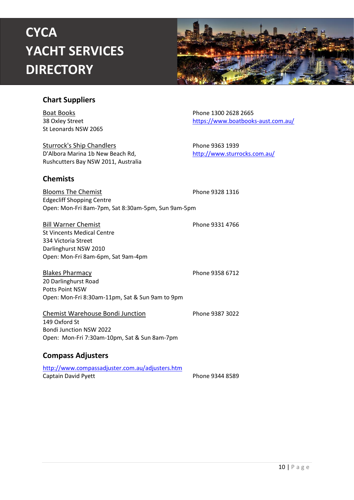

#### <span id="page-9-0"></span>**Chart Suppliers**

**Boat Books Phone 1300 2628 2665** St Leonards NSW 2065

Sturrock's Ship Chandlers **Phone 9363 1939** D'Albora Marina 1b New Beach Rd, <http://www.sturrocks.com.au/> Rushcutters Bay NSW 2011, Australia

38 Oxley Street <https://www.boatbooks-aust.com.au/>

#### <span id="page-9-1"></span>**Chemists**

Blooms The Chemist **Phone 9328 1316** Edgecliff Shopping Centre Open: Mon-Fri 8am-7pm, Sat 8:30am-5pm, Sun 9am-5pm

Bill Warner Chemist **Phone 9331 4766** St Vincents Medical Centre 334 Victoria Street Darlinghurst NSW 2010 Open: Mon-Fri 8am-6pm, Sat 9am-4pm

Blakes Pharmacy **Phone 9358 6712** 20 Darlinghurst Road Potts Point NSW Open: Mon-Fri 8:30am-11pm, Sat & Sun 9am to 9pm

Chemist Warehouse Bondi Junction Phone 9387 3022

149 Oxford St Bondi Junction NSW 2022 Open: Mon-Fri 7:30am-10pm, Sat & Sun 8am-7pm

#### <span id="page-9-2"></span>**Compass Adjusters**

<http://www.compassadjuster.com.au/adjusters.htm> Captain David Pyett **Phone 9344 8589** 

10 | P a g e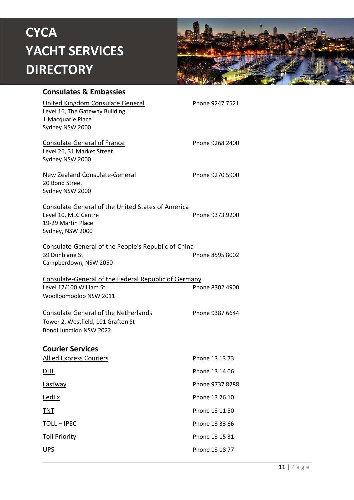

<span id="page-10-0"></span>

| <b>Consulates &amp; Embassies</b>                                                                                          |                 |
|----------------------------------------------------------------------------------------------------------------------------|-----------------|
| United Kingdom Consulate General<br>Level 16, The Gateway Building<br>1 Macquarie Place<br>Sydney NSW 2000                 | Phone 9247 7521 |
| <b>Consulate General of France</b><br>Level 26, 31 Market Street<br>Sydney NSW 2000                                        | Phone 9268 2400 |
| <b>New Zealand Consulate-General</b><br>20 Bond Street<br>Sydney NSW 2000                                                  | Phone 9270 5900 |
| <b>Consulate General of the United States of America</b><br>Level 10, MLC Centre<br>19-29 Martin Place<br>Sydney, NSW 2000 | Phone 9373 9200 |
| Consulate-General of the People's Republic of China<br>39 Dunblane St<br>Campberdown, NSW 2050                             | Phone 8595 8002 |
| Consulate-General of the Federal Republic of Germany<br>Level 17/100 William St<br>Woolloomooloo NSW 2011                  | Phone 8302 4900 |
| Consulate General of the Netherlands<br>Tower 2, Westfield, 101 Grafton St<br><b>Bondi Junction NSW 2022</b>               | Phone 9387 6644 |
| <b>Courier Services</b>                                                                                                    |                 |
| <b>Allied Express Couriers</b>                                                                                             | Phone 13 13 73  |
| <u>DHL</u>                                                                                                                 | Phone 13 14 06  |
| Fastway                                                                                                                    | Phone 9737 8288 |
| <u>FedEx</u>                                                                                                               | Phone 13 26 10  |
| <b>TNT</b>                                                                                                                 | Phone 13 11 50  |
| <u> TOLL – IPEC</u>                                                                                                        | Phone 13 33 66  |
| <b>Toll Priority</b>                                                                                                       | Phone 13 15 31  |
| <u>UPS</u>                                                                                                                 | Phone 13 18 77  |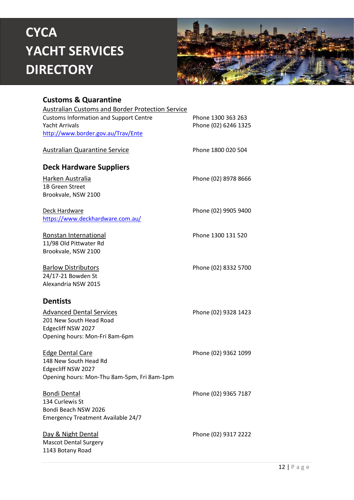

#### <span id="page-11-0"></span>**Customs & Quarantine**

<span id="page-11-3"></span><span id="page-11-2"></span><span id="page-11-1"></span>

| <b>Australian Customs and Border Protection Service</b> |                      |
|---------------------------------------------------------|----------------------|
| <b>Customs Information and Support Centre</b>           | Phone 1300 363 263   |
| <b>Yacht Arrivals</b>                                   | Phone (02) 6246 1325 |
| http://www.border.gov.au/Trav/Ente                      |                      |
| <b>Australian Quarantine Service</b>                    | Phone 1800 020 504   |
| <b>Deck Hardware Suppliers</b>                          |                      |
| Harken Australia                                        | Phone (02) 8978 8666 |
| 1B Green Street                                         |                      |
| Brookvale, NSW 2100                                     |                      |
| Deck Hardware                                           | Phone (02) 9905 9400 |
| https://www.deckhardware.com.au/                        |                      |
| Ronstan International                                   | Phone 1300 131 520   |
| 11/98 Old Pittwater Rd                                  |                      |
| Brookvale, NSW 2100                                     |                      |
| <b>Barlow Distributors</b>                              | Phone (02) 8332 5700 |
| 24/17-21 Bowden St                                      |                      |
| Alexandria NSW 2015                                     |                      |
|                                                         |                      |
| <b>Dentists</b>                                         |                      |
| <b>Advanced Dental Services</b>                         | Phone (02) 9328 1423 |
| 201 New South Head Road                                 |                      |
| Edgecliff NSW 2027                                      |                      |
| Opening hours: Mon-Fri 8am-6pm                          |                      |
| <b>Edge Dental Care</b>                                 | Phone (02) 9362 1099 |
| 148 New South Head Rd                                   |                      |
| Edgecliff NSW 2027                                      |                      |
| Opening hours: Mon-Thu 8am-5pm, Fri 8am-1pm             |                      |
| <b>Bondi Dental</b>                                     | Phone (02) 9365 7187 |
| 134 Curlewis St                                         |                      |
| Bondi Beach NSW 2026                                    |                      |
| <b>Emergency Treatment Available 24/7</b>               |                      |
| Day & Night Dental                                      | Phone (02) 9317 2222 |
| <b>Mascot Dental Surgery</b><br>1143 Botany Road        |                      |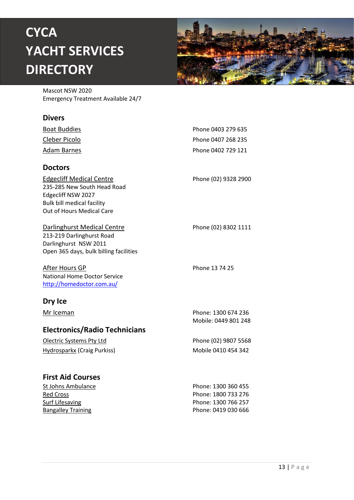

Mascot NSW 2020 Emergency Treatment Available 24/7

#### <span id="page-12-0"></span>**Divers**

<span id="page-12-4"></span><span id="page-12-3"></span><span id="page-12-2"></span><span id="page-12-1"></span>

| <b>Boat Buddies</b>                                                                                                                                    | Phone 0403 279 635                          |
|--------------------------------------------------------------------------------------------------------------------------------------------------------|---------------------------------------------|
| Cleber Picolo                                                                                                                                          | Phone 0407 268 235                          |
| <u>Adam Barnes</u>                                                                                                                                     | Phone 0402 729 121                          |
| <b>Doctors</b>                                                                                                                                         |                                             |
| <b>Edgecliff Medical Centre</b><br>235-285 New South Head Road<br>Edgecliff NSW 2027<br><b>Bulk bill medical facility</b><br>Out of Hours Medical Care | Phone (02) 9328 2900                        |
| Darlinghurst Medical Centre<br>213-219 Darlinghurst Road<br>Darlinghurst NSW 2011<br>Open 365 days, bulk billing facilities                            | Phone (02) 8302 1111                        |
| After Hours GP<br><b>National Home Doctor Service</b><br>http://homedoctor.com.au/                                                                     | Phone 13 74 25                              |
| Dry Ice                                                                                                                                                |                                             |
| Mr Iceman                                                                                                                                              | Phone: 1300 674 236<br>Mobile: 0449 801 248 |
| <b>Electronics/Radio Technicians</b>                                                                                                                   |                                             |
| Olectric Systems Pty Ltd                                                                                                                               | Phone (02) 9807 5568                        |
| <b>Hydrosparkx (Craig Purkiss)</b>                                                                                                                     | Mobile 0410 454 342                         |
| <b>First Aid Courses</b>                                                                                                                               |                                             |
| St Johns Ambulance                                                                                                                                     | Phone: 1300 360 455                         |
| <b>Red Cross</b>                                                                                                                                       | Phone: 1800 733 276                         |
| <b>Surf Lifesaving</b>                                                                                                                                 | Phone: 1300 766 257                         |
| <b>Bangalley Training</b>                                                                                                                              | Phone: 0419 030 666                         |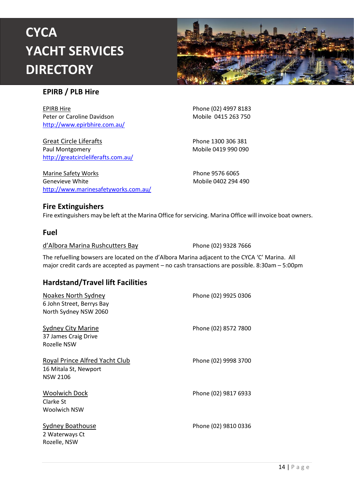

#### <span id="page-13-0"></span>**EPIRB / PLB Hire**

<span id="page-13-1"></span>EPIRB Hire **Phone (02) 4997 8183** Peter or Caroline Davidson Mobile 0415 263 750 <http://www.epirbhire.com.au/>

Great Circle Liferafts Phone 1300 306 381 Paul Montgomery **Mobile 0419 990 090** <http://greatcircleliferafts.com.au/>

Marine Safety Works **Phone 9576 6065** Genevieve White **Mobile 0402 294 490** <http://www.marinesafetyworks.com.au/>

#### <span id="page-13-2"></span>**Fire Extinguishers**

Fire extinguishers may be left at the Marina Office for servicing. Marina Office will invoice boat owners.

#### <span id="page-13-3"></span>**Fuel**

d'Albora Marina Rushcutters Bay Phone (02) 9328 7666

The refuelling bowsers are located on the d'Albora Marina adjacent to the CYCA 'C' Marina. All major credit cards are accepted as payment – no cash transactions are possible. 8:30am – 5:00pm

#### <span id="page-13-4"></span>**Hardstand/Travel lift Facilities**

| Noakes North Sydney<br>6 John Street, Berrys Bay<br>North Sydney NSW 2060  | Phone (02) 9925 0306 |
|----------------------------------------------------------------------------|----------------------|
| Sydney City Marine<br>37 James Craig Drive<br>Rozelle NSW                  | Phone (02) 8572 7800 |
| Royal Prince Alfred Yacht Club<br>16 Mitala St, Newport<br><b>NSW 2106</b> | Phone (02) 9998 3700 |
| <b>Woolwich Dock</b><br>Clarke St<br>Woolwich NSW                          | Phone (02) 9817 6933 |
| Sydney Boathouse<br>2 Waterways Ct<br>Rozelle, NSW                         | Phone (02) 9810 0336 |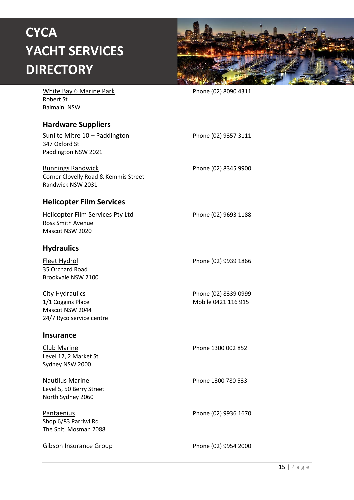

<span id="page-14-3"></span><span id="page-14-2"></span><span id="page-14-1"></span><span id="page-14-0"></span>

| <b>White Bay 6 Marine Park</b><br><b>Robert St</b><br>Balmain, NSW                         | Phone (02) 8090 4311                        |
|--------------------------------------------------------------------------------------------|---------------------------------------------|
| <b>Hardware Suppliers</b>                                                                  |                                             |
| <u><b>Sunlite Mitre 10 - Paddington</b></u><br>347 Oxford St<br>Paddington NSW 2021        | Phone (02) 9357 3111                        |
| <b>Bunnings Randwick</b><br>Corner Clovelly Road & Kemmis Street<br>Randwick NSW 2031      | Phone (02) 8345 9900                        |
| <b>Helicopter Film Services</b>                                                            |                                             |
| <b>Helicopter Film Services Pty Ltd</b><br><b>Ross Smith Avenue</b><br>Mascot NSW 2020     | Phone (02) 9693 1188                        |
| <b>Hydraulics</b>                                                                          |                                             |
| <u>Fleet Hydrol</u><br>35 Orchard Road<br>Brookvale NSW 2100                               | Phone (02) 9939 1866                        |
| <b>City Hydraulics</b><br>1/1 Coggins Place<br>Mascot NSW 2044<br>24/7 Ryco service centre | Phone (02) 8339 0999<br>Mobile 0421 116 915 |
| <b>Insurance</b>                                                                           |                                             |
| <u>Club Marine</u><br>Level 12, 2 Market St<br>Sydney NSW 2000                             | Phone 1300 002 852                          |
| <b>Nautilus Marine</b><br>Level 5, 50 Berry Street<br>North Sydney 2060                    | Phone 1300 780 533                          |
| <b>Pantaenius</b><br>Shop 6/83 Parriwi Rd<br>The Spit, Mosman 2088                         | Phone (02) 9936 1670                        |
| <b>Gibson Insurance Group</b>                                                              | Phone (02) 9954 2000                        |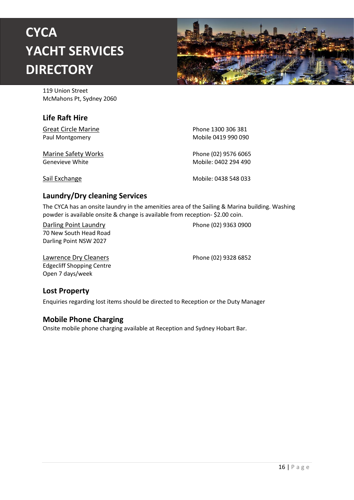

119 Union Street McMahons Pt, Sydney 2060

#### <span id="page-15-0"></span>**Life Raft Hire**

Great Circle Marine **Phone 1300 306 381** 

Marine Safety Works **Phone (02) 9576 6065** Genevieve White **Mobile: 0402 294 490** 

Paul Montgomery **Mobile 0419 990 090** 

Sail Exchange Mobile: 0438 548 033

#### <span id="page-15-1"></span>**Laundry/Dry cleaning Services**

The CYCA has an onsite laundry in the amenities area of the Sailing & Marina building. Washing powder is available onsite & change is available from reception- \$2.00 coin.

70 New South Head Road Darling Point NSW 2027

Darling Point Laundry **Phone (02)** 9363 0900

Lawrence Dry Cleaners **Phone (02)** 9328 6852 Edgecliff Shopping Centre Open 7 days/week

#### <span id="page-15-2"></span>**Lost Property**

Enquiries regarding lost items should be directed to Reception or the Duty Manager

#### <span id="page-15-3"></span>**Mobile Phone Charging**

Onsite mobile phone charging available at Reception and Sydney Hobart Bar.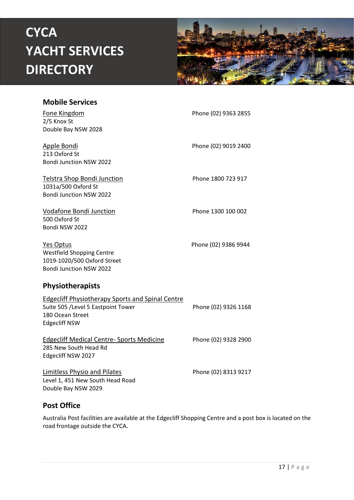

<span id="page-16-0"></span>

| <b>Mobile Services</b>                                                                                                                    |                      |
|-------------------------------------------------------------------------------------------------------------------------------------------|----------------------|
| Fone Kingdom<br>2/5 Knox St                                                                                                               | Phone (02) 9363 2855 |
| Double Bay NSW 2028                                                                                                                       |                      |
| Apple Bondi<br>213 Oxford St<br><b>Bondi Junction NSW 2022</b>                                                                            | Phone (02) 9019 2400 |
| <b>Telstra Shop Bondi Junction</b><br>1031a/500 Oxford St<br>Bondi Junction NSW 2022                                                      | Phone 1800 723 917   |
| <b>Vodafone Bondi Junction</b><br>500 Oxford St<br>Bondi NSW 2022                                                                         | Phone 1300 100 002   |
| Yes Optus<br><b>Westfield Shopping Centre</b><br>1019-1020/500 Oxford Street<br>Bondi Junction NSW 2022                                   | Phone (02) 9386 9944 |
| Physiotherapists                                                                                                                          |                      |
| <b>Edgecliff Physiotherapy Sports and Spinal Centre</b><br>Suite 505 /Level 5 Eastpoint Tower<br>180 Ocean Street<br><b>Edgecliff NSW</b> | Phone (02) 9326 1168 |
| <b>Edgecliff Medical Centre- Sports Medicine</b><br>285 New South Head Rd<br>Edgecliff NSW 2027                                           | Phone (02) 9328 2900 |
| <b>Limitless Physio and Pilates</b><br>Level 1, 451 New South Head Road<br>Double Bay NSW 2029                                            | Phone (02) 8313 9217 |

#### <span id="page-16-2"></span><span id="page-16-1"></span>**Post Office**

Australia Post facilities are available at the Edgecliff Shopping Centre and a post box is located on the road frontage outside the CYCA.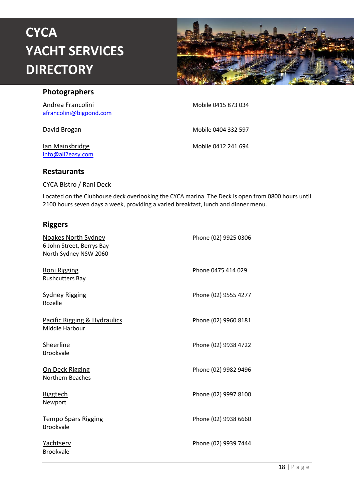

#### <span id="page-17-0"></span>**Photographers**

Andrea Francolini Mobile 0415 873 034 [afrancolini@bigpond.com](mailto:afrancolini@bigpond.com)

[info@all2easy.com](mailto:info@all2easy.com)

David Brogan Mobile 0404 332 597

Ian Mainsbridge **Mobile 0412 241 694** 

#### <span id="page-17-1"></span>**Restaurants**

#### CYCA Bistro / Rani Deck

Located on the Clubhouse deck overlooking the CYCA marina. The Deck is open from 0800 hours until 2100 hours seven days a week, providing a varied breakfast, lunch and dinner menu.

#### <span id="page-17-2"></span>**Riggers**

| <b>Noakes North Sydney</b><br>6 John Street, Berrys Bay<br>North Sydney NSW 2060 | Phone (02) 9925 0306 |
|----------------------------------------------------------------------------------|----------------------|
| <b>Roni Rigging</b><br><b>Rushcutters Bay</b>                                    | Phone 0475 414 029   |
| <b>Sydney Rigging</b><br>Rozelle                                                 | Phone (02) 9555 4277 |
| Pacific Rigging & Hydraulics<br>Middle Harbour                                   | Phone (02) 9960 8181 |
| <b>Sheerline</b><br><b>Brookvale</b>                                             | Phone (02) 9938 4722 |
| On Deck Rigging<br>Northern Beaches                                              | Phone (02) 9982 9496 |
| <b>Riggtech</b><br>Newport                                                       | Phone (02) 9997 8100 |
| <b>Tempo Spars Rigging</b><br><b>Brookvale</b>                                   | Phone (02) 9938 6660 |
| Yachtserv<br><b>Brookvale</b>                                                    | Phone (02) 9939 7444 |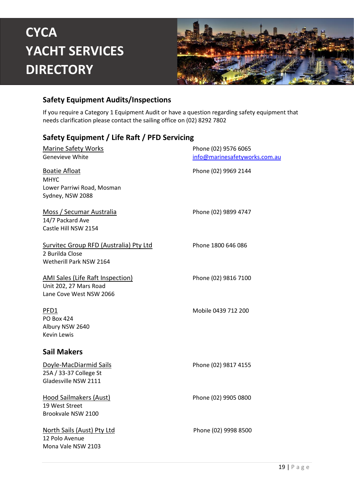

#### <span id="page-18-0"></span>**Safety Equipment Audits/Inspections**

If you require a Category 1 Equipment Audit or have a question regarding safety equipment that needs clarification please contact the sailing office on (02) 8292 7802

#### <span id="page-18-1"></span>**Safety Equipment / Life Raft / PFD Servicing**

| <b>Marine Safety Works</b>                                                                   | Phone (02) 9576 6065          |
|----------------------------------------------------------------------------------------------|-------------------------------|
| Genevieve White                                                                              | info@marinesafetyworks.com.au |
| <b>Boatie Afloat</b><br><b>MHYC</b><br>Lower Parriwi Road, Mosman<br>Sydney, NSW 2088        | Phone (02) 9969 2144          |
| <u>Moss / Secumar Australia</u><br>14/7 Packard Ave<br>Castle Hill NSW 2154                  | Phone (02) 9899 4747          |
| Survitec Group RFD (Australia) Pty Ltd<br>2 Burilda Close<br>Wetherill Park NSW 2164         | Phone 1800 646 086            |
| <b>AMI Sales (Life Raft Inspection)</b><br>Unit 202, 27 Mars Road<br>Lane Cove West NSW 2066 | Phone (02) 9816 7100          |
| PFD1<br><b>PO Box 424</b><br>Albury NSW 2640<br><b>Kevin Lewis</b>                           | Mobile 0439 712 200           |
| <b>Sail Makers</b>                                                                           |                               |
| Doyle-MacDiarmid Sails<br>25A / 33-37 College St<br>Gladesville NSW 2111                     | Phone (02) 9817 4155          |
| <b>Hood Sailmakers (Aust)</b><br>19 West Street<br>Brookvale NSW 2100                        | Phone (02) 9905 0800          |
| North Sails (Aust) Pty Ltd<br>12 Polo Avenue<br>Mona Vale NSW 2103                           | Phone (02) 9998 8500          |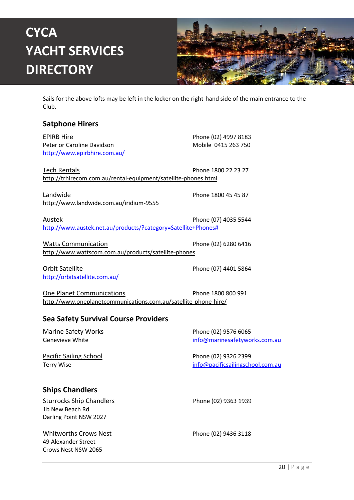

Sails for the above lofts may be left in the locker on the right-hand side of the main entrance to the Club.

#### <span id="page-19-0"></span>**Satphone Hirers**

EPIRB Hire Phone (02) 4997 8183 Peter or Caroline Davidson Mobile 0415 263 750 <http://www.epirbhire.com.au/> Tech Rentals **Phone 1800 22 23 27** <http://trhirecom.com.au/rental-equipment/satellite-phones.html> Landwide **Phone 1800 45 45 87** <http://www.landwide.com.au/iridium-9555>

Austek **Phone (07) 4035 5544** [http://www.austek.net.au/products/?category=Satellite+Phones#](http://www.austek.net.au/products/?category=Satellite+Phones%23)

Watts Communication **Phone (02) 6280 6416** <http://www.wattscom.com.au/products/satellite-phones>

Orbit Satellite **Phone (07) 4401 5864** <http://orbitsatellite.com.au/>

One Planet Communications Phone 1800 800 991 <http://www.oneplanetcommunications.com.au/satellite-phone-hire/>

#### <span id="page-19-1"></span>**Sea Safety Survival Course Providers**

Marine Safety Works **Phone (02) 9576 6065** Genevieve White [info@marinesafetyworks.com.au](mailto:info@marinesafetyworks.com.au)

Pacific Sailing School Phone (02) 9326 2399

Terry Wise [info@pacificsailingschool.com.au](mailto:info@pacificsailingschool.com.au)

#### <span id="page-19-2"></span>**Ships Chandlers**

Sturrocks Ship Chandlers Phone (02) 9363 1939 1b New Beach Rd Darling Point NSW 2027

Whitworths Crows Nest Phone (02) 9436 3118 49 Alexander Street Crows Nest NSW 2065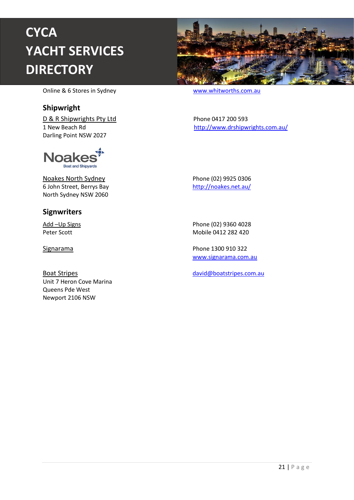

Online & 6 Stores in Sydney [www.whitworths.com.au](http://www.whitworths.com.au/)

#### <span id="page-20-0"></span>**Shipwright**

D & R Shipwrights Pty Ltd Phone 0417 200 593 Darling Point NSW 2027



Noakes North Sydney **Phone (02)** 9925 0306 6 John Street, Berrys Bay <http://noakes.net.au/> North Sydney NSW 2060

#### <span id="page-20-1"></span>**Signwriters**

Unit 7 Heron Cove Marina Queens Pde West Newport 2106 NSW

1 New Beach Rd <http://www.drshipwrights.com.au/>

Add –Up Signs Phone (02) 9360 4028 Peter Scott **Mobile 0412 282 420** 

Signarama Phone 1300 910 322 [www.signarama.com.au](http://www.signarama.com.au/) 

Boat Stripes [david@boatstripes.com.au](mailto:david@boatstripes.com.au)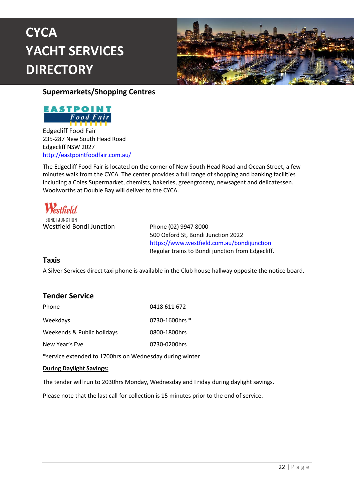

<span id="page-21-0"></span>**Supermarkets/Shopping Centres**



Edgecliff Food Fair 235-287 New South Head Road Edgecliff NSW 2027 <http://eastpointfoodfair.com.au/>

The Edgecliff Food Fair is located on the corner of New South Head Road and Ocean Street, a few minutes walk from the CYCA. The center provides a full range of shopping and banking facilities including a Coles Supermarket, chemists, bakeries, greengrocery, newsagent and delicatessen. Woolworths at Double Bay will deliver to the CYCA.

**Westfield** RONDI JUNCTION Westfield Bondi Junction Phone (02) 9947 8000

500 Oxford St, Bondi Junction 2022 <https://www.westfield.com.au/bondijunction> Regular trains to Bondi junction from Edgecliff.

#### <span id="page-21-1"></span>**Taxis**

A Silver Services direct taxi phone is available in the Club house hallway opposite the notice board.

#### <span id="page-21-2"></span>**Tender Service**

| Phone                      | 0418 611 672   |
|----------------------------|----------------|
| Weekdays                   | 0730-1600hrs * |
| Weekends & Public holidays | 0800-1800hrs   |
| New Year's Eve             | 0730-0200hrs   |

\*service extended to 1700hrs on Wednesday during winter

#### **During Daylight Savings:**

The tender will run to 2030hrs Monday, Wednesday and Friday during daylight savings.

Please note that the last call for collection is 15 minutes prior to the end of service.